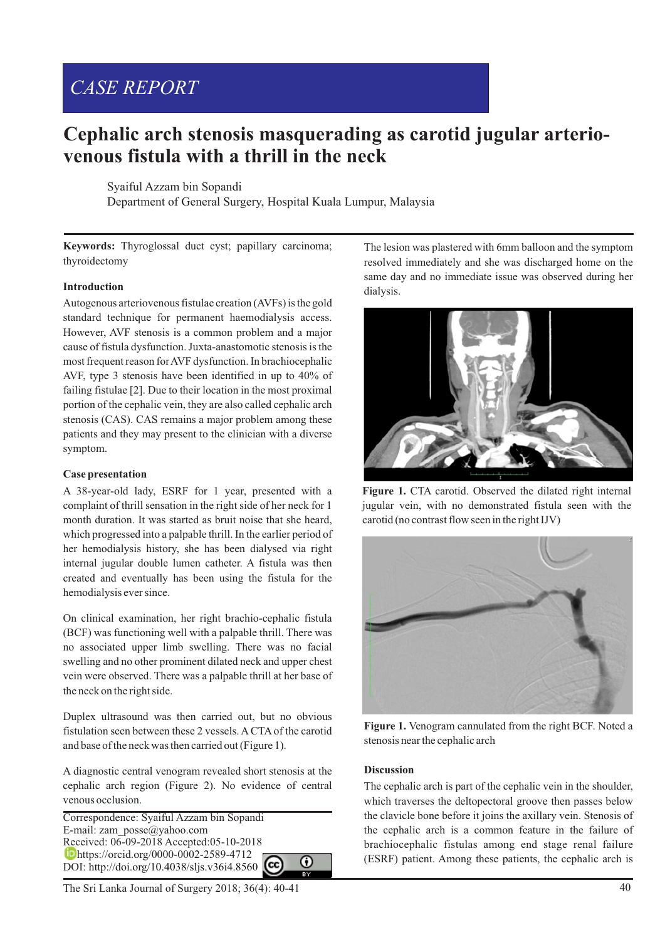# *CASE REPORT*

# **Cephalic arch stenosis masquerading as carotid jugular arteriovenous fistula with a thrill in the neck**

Syaiful Azzam bin Sopandi

Department of General Surgery, Hospital Kuala Lumpur, Malaysia

**Keywords:** Thyroglossal duct cyst; papillary carcinoma; thyroidectomy

### **Introduction**

Autogenous arteriovenous fistulae creation (AVFs) is the gold standard technique for permanent haemodialysis access. However, AVF stenosis is a common problem and a major cause of fistula dysfunction. Juxta-anastomotic stenosis is the most frequent reason for AVF dysfunction. In brachiocephalic AVF, type 3 stenosis have been identified in up to 40% of failing fistulae [2]. Due to their location in the most proximal portion of the cephalic vein, they are also called cephalic arch stenosis (CAS). CAS remains a major problem among these patients and they may present to the clinician with a diverse symptom.

#### **Case presentation**

A 38-year-old lady, ESRF for 1 year, presented with a complaint of thrill sensation in the right side of her neck for 1 month duration. It was started as bruit noise that she heard, which progressed into a palpable thrill. In the earlier period of her hemodialysis history, she has been dialysed via right internal jugular double lumen catheter. A fistula was then created and eventually has been using the fistula for the hemodialysis ever since.

On clinical examination, her right brachio-cephalic fistula (BCF) was functioning well with a palpable thrill. There was no associated upper limb swelling. There was no facial swelling and no other prominent dilated neck and upper chest vein were observed. There was a palpable thrill at her base of the neck on the right side.

Duplex ultrasound was then carried out, but no obvious fistulation seen between these 2 vessels. ACTAof the carotid and base of the neck was then carried out (Figure 1).

A diagnostic central venogram revealed short stenosis at the cephalic arch region (Figure 2). No evidence of central venous occlusion.

Correspondence: Syaiful Azzam bin Sopandi E-mail: zam\_posse@yahoo.com Received: 06-09-2018 Accepted:05-10-2018 **b**https://orcid.org/0000-0002-2589-4712 ⋒ DOI: http://doi.org/10.4038/sljs.v36i4.8560

The lesion was plastered with 6mm balloon and the symptom resolved immediately and she was discharged home on the same day and no immediate issue was observed during her dialysis.



**Figure 1.** CTA carotid. Observed the dilated right internal jugular vein, with no demonstrated fistula seen with the carotid (no contrast flow seen in the right IJV)



**Figure 1.** Venogram cannulated from the right BCF. Noted a stenosis near the cephalic arch

#### **Discussion**

The cephalic arch is part of the cephalic vein in the shoulder, which traverses the deltopectoral groove then passes below the clavicle bone before it joins the axillary vein. Stenosis of the cephalic arch is a common feature in the failure of brachiocephalic fistulas among end stage renal failure (ESRF) patient. Among these patients, the cephalic arch is